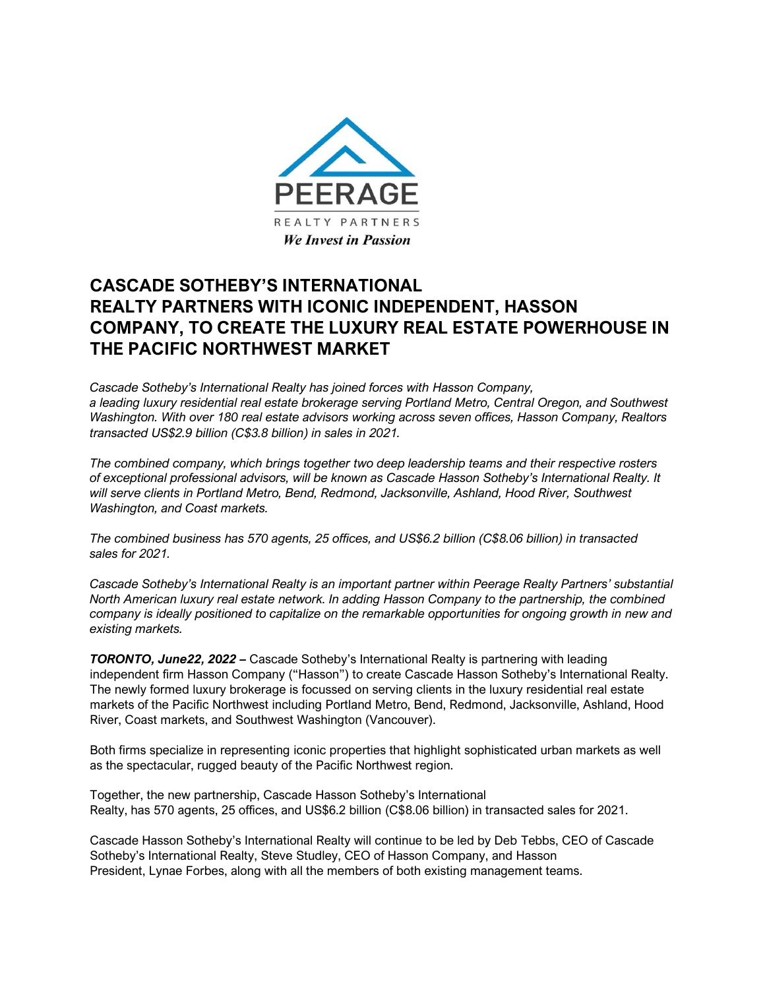

# **CASCADE SOTHEBY'S INTERNATIONAL REALTY PARTNERS WITH ICONIC INDEPENDENT, HASSON COMPANY, TO CREATE THE LUXURY REAL ESTATE POWERHOUSE IN THE PACIFIC NORTHWEST MARKET**

*Cascade Sotheby's International Realty has joined forces with Hasson Company, a leading luxury residential real estate brokerage serving Portland Metro, Central Oregon, and Southwest Washington. With over 180 real estate advisors working across seven offices, Hasson Company, Realtors transacted US\$2.9 billion (C\$3.8 billion) in sales in 2021.*

*The combined company, which brings together two deep leadership teams and their respective rosters of exceptional professional advisors, will be known as Cascade Hasson Sotheby's International Realty. It will serve clients in Portland Metro, Bend, Redmond, Jacksonville, Ashland, Hood River, Southwest Washington, and Coast markets.*

*The combined business has 570 agents, 25 offices, and US\$6.2 billion (C\$8.06 billion) in transacted sales for 2021.*

*Cascade Sotheby's International Realty is an important partner within Peerage Realty Partners' substantial North American luxury real estate network. In adding Hasson Company to the partnership, the combined company is ideally positioned to capitalize on the remarkable opportunities for ongoing growth in new and existing markets.*

*TORONTO, June22, 2022 –* Cascade Sotheby's International Realty is partnering with leading independent firm Hasson Company ("Hasson") to create Cascade Hasson Sotheby's International Realty. The newly formed luxury brokerage is focussed on serving clients in the luxury residential real estate markets of the Pacific Northwest including Portland Metro, Bend, Redmond, Jacksonville, Ashland, Hood River, Coast markets, and Southwest Washington (Vancouver).

Both firms specialize in representing iconic properties that highlight sophisticated urban markets as well as the spectacular, rugged beauty of the Pacific Northwest region.

Together, the new partnership, Cascade Hasson Sotheby's International Realty, has 570 agents, 25 offices, and US\$6.2 billion (C\$8.06 billion) in transacted sales for 2021.

Cascade Hasson Sotheby's International Realty will continue to be led by Deb Tebbs, CEO of Cascade Sotheby's International Realty, Steve Studley, CEO of Hasson Company, and Hasson President, Lynae Forbes, along with all the members of both existing management teams.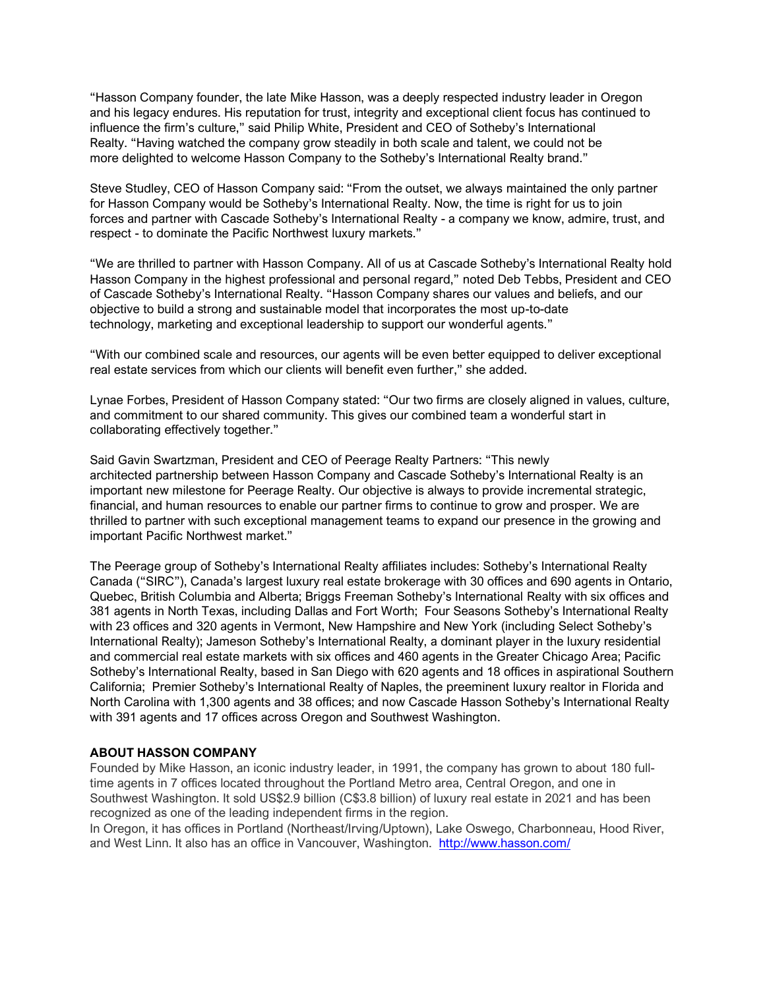"Hasson Company founder, the late Mike Hasson, was a deeply respected industry leader in Oregon and his legacy endures. His reputation for trust, integrity and exceptional client focus has continued to influence the firm's culture," said Philip White, President and CEO of Sotheby's International Realty. "Having watched the company grow steadily in both scale and talent, we could not be more delighted to welcome Hasson Company to the Sotheby's International Realty brand."

Steve Studley, CEO of Hasson Company said: "From the outset, we always maintained the only partner for Hasson Company would be Sotheby's International Realty. Now, the time is right for us to join forces and partner with Cascade Sotheby's International Realty - a company we know, admire, trust, and respect - to dominate the Pacific Northwest luxury markets."

"We are thrilled to partner with Hasson Company. All of us at Cascade Sotheby's International Realty hold Hasson Company in the highest professional and personal regard," noted Deb Tebbs, President and CEO of Cascade Sotheby's International Realty. "Hasson Company shares our values and beliefs, and our objective to build a strong and sustainable model that incorporates the most up-to-date technology, marketing and exceptional leadership to support our wonderful agents."

"With our combined scale and resources, our agents will be even better equipped to deliver exceptional real estate services from which our clients will benefit even further," she added.

Lynae Forbes, President of Hasson Company stated: "Our two firms are closely aligned in values, culture, and commitment to our shared community. This gives our combined team a wonderful start in collaborating effectively together."

Said Gavin Swartzman, President and CEO of Peerage Realty Partners: "This newly architected partnership between Hasson Company and Cascade Sotheby's International Realty is an important new milestone for Peerage Realty. Our objective is always to provide incremental strategic, financial, and human resources to enable our partner firms to continue to grow and prosper. We are thrilled to partner with such exceptional management teams to expand our presence in the growing and important Pacific Northwest market."

The Peerage group of Sotheby's International Realty affiliates includes: Sotheby's International Realty Canada ("SIRC"), Canada's largest luxury real estate brokerage with 30 offices and 690 agents in Ontario, Quebec, British Columbia and Alberta; Briggs Freeman Sotheby's International Realty with six offices and 381 agents in North Texas, including Dallas and Fort Worth; Four Seasons Sotheby's International Realty with 23 offices and 320 agents in Vermont, New Hampshire and New York (including Select Sotheby's International Realty); Jameson Sotheby's International Realty, a dominant player in the luxury residential and commercial real estate markets with six offices and 460 agents in the Greater Chicago Area; Pacific Sotheby's International Realty, based in San Diego with 620 agents and 18 offices in aspirational Southern California; Premier Sotheby's International Realty of Naples, the preeminent luxury realtor in Florida and North Carolina with 1,300 agents and 38 offices; and now Cascade Hasson Sotheby's International Realty with 391 agents and 17 offices across Oregon and Southwest Washington.

# **ABOUT HASSON COMPANY**

Founded by Mike Hasson, an iconic industry leader, in 1991, the company has grown to about 180 fulltime agents in 7 offices located throughout the Portland Metro area, Central Oregon, and one in Southwest Washington. It sold US\$2.9 billion (C\$3.8 billion) of luxury real estate in 2021 and has been recognized as one of the leading independent firms in the region.

In Oregon, it has offices in Portland (Northeast/Irving/Uptown), Lake Oswego, Charbonneau, Hood River, and West Linn. It also has an office in Vancouver, Washington. <http://www.hasson.com/>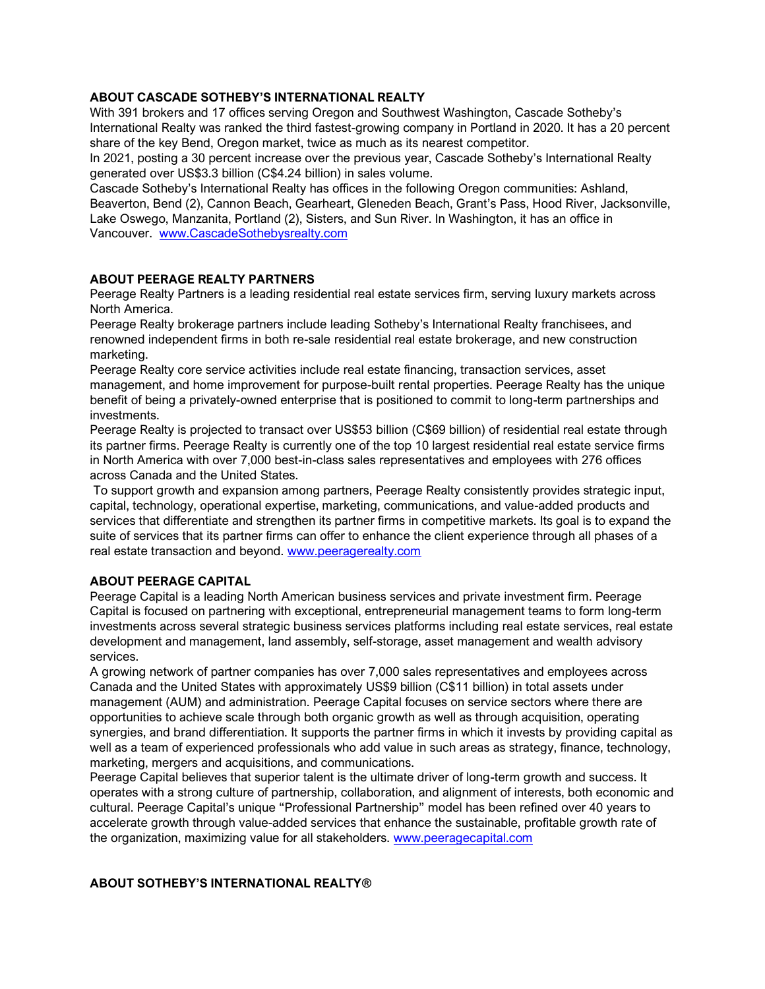# **ABOUT CASCADE SOTHEBY'S INTERNATIONAL REALTY**

With 391 brokers and 17 offices serving Oregon and Southwest Washington, Cascade Sotheby's International Realty was ranked the third fastest-growing company in Portland in 2020. It has a 20 percent share of the key Bend, Oregon market, twice as much as its nearest competitor.

In 2021, posting a 30 percent increase over the previous year, Cascade Sotheby's International Realty generated over US\$3.3 billion (C\$4.24 billion) in sales volume.

Cascade Sotheby's International Realty has offices in the following Oregon communities: Ashland, Beaverton, Bend (2), Cannon Beach, Gearheart, Gleneden Beach, Grant's Pass, Hood River, Jacksonville, Lake Oswego, Manzanita, Portland (2), Sisters, and Sun River. In Washington, it has an office in Vancouver. [www.CascadeSothebysrealty.com](https://can01.safelinks.protection.outlook.com/?url=http%3A%2F%2Fwww.cascadesothebysrealty.com%2F&data=05%7C01%7Cdmcmurdy%40peeragecapital.com%7C209715e4f27c4e9dadd308da3c3a8613%7Cba28aadb4c944cee8996b5e7fd6a2da2%7C0%7C0%7C637888519317179050%7CUnknown%7CTWFpbGZsb3d8eyJWIjoiMC4wLjAwMDAiLCJQIjoiV2luMzIiLCJBTiI6Ik1haWwiLCJXVCI6Mn0%3D%7C3000%7C%7C%7C&sdata=tIu8zYpoAv6H3L%2Baz8wCFoGLmyY0jZFgZKSEKdczl7E%3D&reserved=0)

# **ABOUT PEERAGE REALTY PARTNERS**

Peerage Realty Partners is a leading residential real estate services firm, serving luxury markets across North America.

Peerage Realty brokerage partners include leading Sotheby's International Realty franchisees, and renowned independent firms in both re-sale residential real estate brokerage, and new construction marketing.

Peerage Realty core service activities include real estate financing, transaction services, asset management, and home improvement for purpose-built rental properties. Peerage Realty has the unique benefit of being a privately-owned enterprise that is positioned to commit to long-term partnerships and investments.

Peerage Realty is projected to transact over US\$53 billion (C\$69 billion) of residential real estate through its partner firms. Peerage Realty is currently one of the top 10 largest residential real estate service firms in North America with over 7,000 best-in-class sales representatives and employees with 276 offices across Canada and the United States.

To support growth and expansion among partners, Peerage Realty consistently provides strategic input, capital, technology, operational expertise, marketing, communications, and value-added products and services that differentiate and strengthen its partner firms in competitive markets. Its goal is to expand the suite of services that its partner firms can offer to enhance the client experience through all phases of a real estate transaction and beyond. [www.peeragerealty.com](http://www.peeragerealty.com/)

# **ABOUT PEERAGE CAPITAL**

Peerage Capital is a leading North American business services and private investment firm. Peerage Capital is focused on partnering with exceptional, entrepreneurial management teams to form long-term investments across several strategic business services platforms including real estate services, real estate development and management, land assembly, self-storage, asset management and wealth advisory services.

A growing network of partner companies has over 7,000 sales representatives and employees across Canada and the United States with approximately US\$9 billion (C\$11 billion) in total assets under management (AUM) and administration. Peerage Capital focuses on service sectors where there are opportunities to achieve scale through both organic growth as well as through acquisition, operating synergies, and brand differentiation. It supports the partner firms in which it invests by providing capital as well as a team of experienced professionals who add value in such areas as strategy, finance, technology, marketing, mergers and acquisitions, and communications.

Peerage Capital believes that superior talent is the ultimate driver of long-term growth and success. It operates with a strong culture of partnership, collaboration, and alignment of interests, both economic and cultural. Peerage Capital's unique "Professional Partnership" model has been refined over 40 years to accelerate growth through value-added services that enhance the sustainable, profitable growth rate of the organization, maximizing value for all stakeholders. www.peeragecapital.com

# **ABOUT SOTHEBY'S INTERNATIONAL REALTY®**